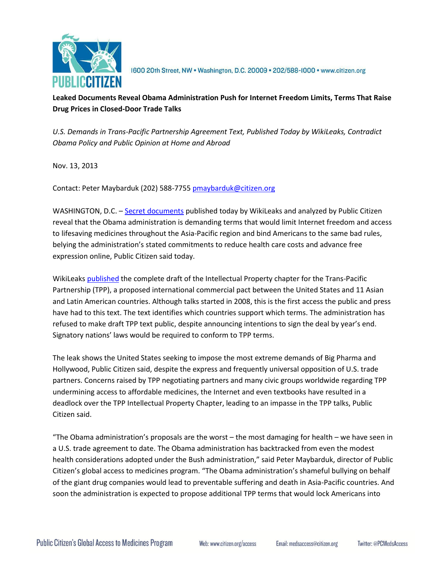

1600 20th Street, NW . Washington, D.C. 20009 . 202/588-1000 . www.citizen.org

## **Leaked Documents Reveal Obama Administration Push for Internet Freedom Limits, Terms That Raise Drug Prices in Closed-Door Trade Talks**

*U.S. Demands in Trans-Pacific Partnership Agreement Text, Published Today by WikiLeaks, Contradict Obama Policy and Public Opinion at Home and Abroad*

Nov. 13, 2013

Contact: Peter Maybarduk (202) 588-7755 [pmaybarduk@citizen.org](https://exg5.exghost.com/owa/redir.aspx?C=tbk1w8s0xU-y7VW-5La-tgRpSC_Gs9BIUGMQ4xEXSCHFW_ekLvT8Vda485FdqDkWIzV078-EBXs.&URL=mailto%3apmaybarduk%40citizen.org)

WASHINGTON, D.C. – [Secret documents](https://exg5.exghost.com/owa/redir.aspx?C=tbk1w8s0xU-y7VW-5La-tgRpSC_Gs9BIUGMQ4xEXSCHFW_ekLvT8Vda485FdqDkWIzV078-EBXs.&URL=http%3a%2f%2fwww.wikileaks.org%2ftpp) published today by WikiLeaks and analyzed by Public Citizen reveal that the Obama administration is demanding terms that would limit Internet freedom and access to lifesaving medicines throughout the Asia-Pacific region and bind Americans to the same bad rules, belying the administration's stated commitments to reduce health care costs and advance free expression online, Public Citizen said today.

WikiLeaks [published](https://exg5.exghost.com/owa/redir.aspx?C=tbk1w8s0xU-y7VW-5La-tgRpSC_Gs9BIUGMQ4xEXSCHFW_ekLvT8Vda485FdqDkWIzV078-EBXs.&URL=http%3a%2f%2fwww.wikileaks.org%2ftpp) the complete draft of the Intellectual Property chapter for the Trans-Pacific Partnership (TPP), a proposed international commercial pact between the United States and 11 Asian and Latin American countries. Although talks started in 2008, this is the first access the public and press have had to this text. The text identifies which countries support which terms. The administration has refused to make draft TPP text public, despite announcing intentions to sign the deal by year's end. Signatory nations' laws would be required to conform to TPP terms.

The leak shows the United States seeking to impose the most extreme demands of Big Pharma and Hollywood, Public Citizen said, despite the express and frequently universal opposition of U.S. trade partners. Concerns raised by TPP negotiating partners and many civic groups worldwide regarding TPP undermining access to affordable medicines, the Internet and even textbooks have resulted in a deadlock over the TPP Intellectual Property Chapter, leading to an impasse in the TPP talks, Public Citizen said.

"The Obama administration's proposals are the worst – the most damaging for health – we have seen in a U.S. trade agreement to date. The Obama administration has backtracked from even the modest health considerations adopted under the Bush administration," said Peter Maybarduk, director of Public Citizen's global access to medicines program. "The Obama administration's shameful bullying on behalf of the giant drug companies would lead to preventable suffering and death in Asia-Pacific countries. And soon the administration is expected to propose additional TPP terms that would lock Americans into